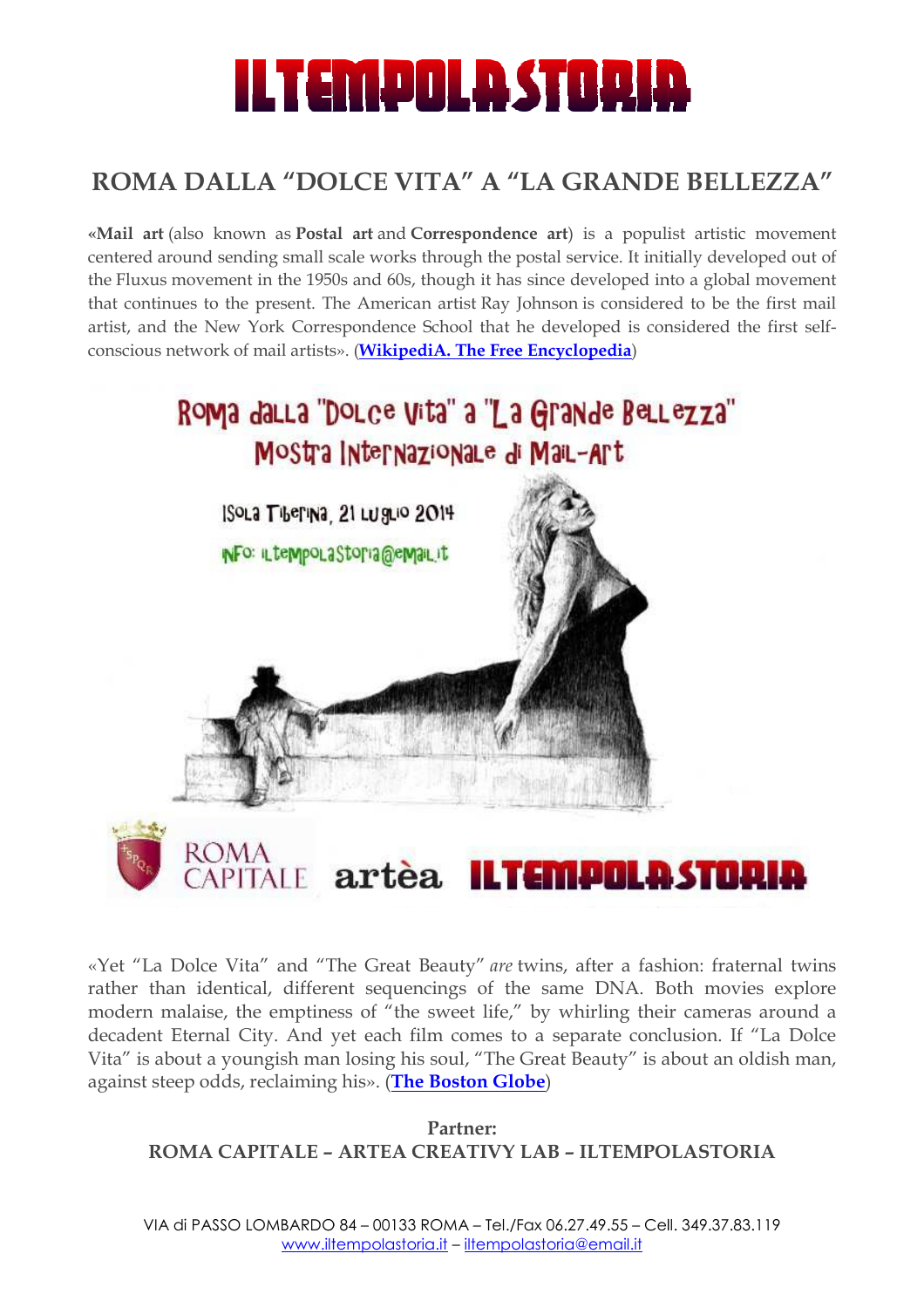# ILTEMPOLASTORIA

## **ROMA DALLA "DOLCE "DOLCE VITA" A "LA GRANDE GRANDE BELLEZZA"**

**«Mail art** (also known as **Postal Postal art** and **Correspondence art**) is a populist populist artistic movement centered around sending small scale works through the postal service. It initially developed out of the Fluxus movement in the 1950s and 60s, though it has since developed into a global movement that continues to the present. The American artist Ray Johnson is considered to be the first mail artist, and the New York Correspondence School that he developed is considered the first selfconscious network of mail artists». (WikipediA. The Free Encyclopedia)



«Yet "La Dolce Vita" and "The Great Beauty" are twins, after a fashion: fraternal twins rather than identical, different sequencings of the same DNA. Both movies explore modern malaise, the emptiness of "the sweet life," by whirling their cameras around a decadent Eternal City. And yet each film comes to a separate conclusion. If "La Dolce Vita" is about a youngish man losing his soul, "The Great Beauty" is about an oldish man, against steep odds*,* reclaiming his». (<mark>The Boston Globe</mark>)

**ROMA CAPITALE – ARTEA CREATIVY LAB – ILTEMPOLASTORIA Partner:** 

VIA di PASSO LOMBARDO 84 – 00133 ROMA – Tel./Fax 06.27.49.55 – Cell. 349.37.83.119 www.iltempolastoria.it www.iltempolastoria.it – iltempolastoria@email.it